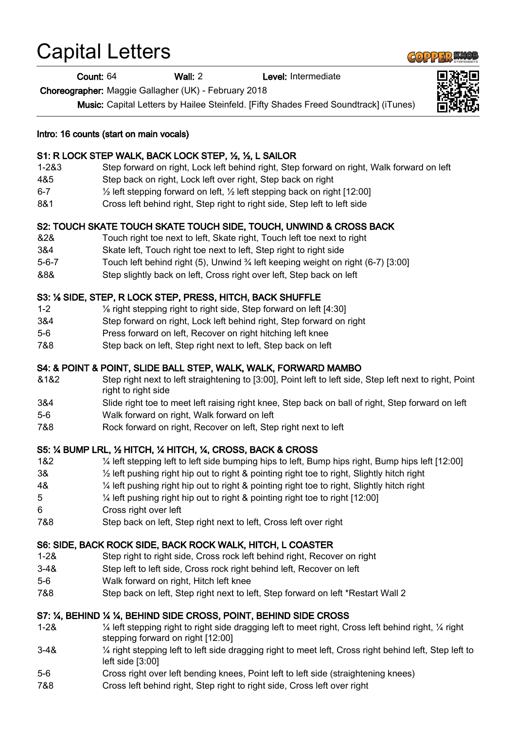# Capital Letters

Count: 64 Wall: 2 Level: Intermediate

Choreographer: Maggie Gallagher (UK) - February 2018

Music: Capital Letters by Hailee Steinfeld. [Fifty Shades Freed Soundtrack] (iTunes)



## S1: R LOCK STEP WALK, BACK LOCK STEP, ½, ½, L SAILOR

- 1-2&3 Step forward on right, Lock left behind right, Step forward on right, Walk forward on left
- 4&5 Step back on right, Lock left over right, Step back on right
- 6-7 ½ left stepping forward on left, ½ left stepping back on right [12:00]
- 8&1 Cross left behind right, Step right to right side, Step left to left side

## S2: TOUCH SKATE TOUCH SKATE TOUCH SIDE, TOUCH, UNWIND & CROSS BACK

- &2& Touch right toe next to left, Skate right, Touch left toe next to right
- 3&4 Skate left, Touch right toe next to left, Step right to right side
- 5-6-7 Touch left behind right (5), Unwind ¾ left keeping weight on right (6-7) [3:00]
- &8& Step slightly back on left, Cross right over left, Step back on left

#### S3: ⅛ SIDE, STEP, R LOCK STEP, PRESS, HITCH, BACK SHUFFLE

- 1-2 ⅛ right stepping right to right side, Step forward on left [4:30]
- 3&4 Step forward on right, Lock left behind right, Step forward on right
- 5-6 Press forward on left, Recover on right hitching left knee
- 7&8 Step back on left, Step right next to left, Step back on left

#### S4: & POINT & POINT, SLIDE BALL STEP, WALK, WALK, FORWARD MAMBO

- &1&2 Step right next to left straightening to [3:00], Point left to left side, Step left next to right, Point right to right side
- 3&4 Slide right toe to meet left raising right knee, Step back on ball of right, Step forward on left
- 5-6 Walk forward on right, Walk forward on left
- 7&8 Rock forward on right, Recover on left, Step right next to left

#### S5: ¼ BUMP LRL, ½ HITCH, ¼ HITCH, ¼, CROSS, BACK & CROSS

- 1&2 ¼ left stepping left to left side bumping hips to left, Bump hips right, Bump hips left [12:00]
- 3& ½ left pushing right hip out to right & pointing right toe to right, Slightly hitch right
- 4& ¼ left pushing right hip out to right & pointing right toe to right, Slightly hitch right
- 5 ¼ left pushing right hip out to right & pointing right toe to right [12:00]
- 6 Cross right over left
- 7&8 Step back on left, Step right next to left, Cross left over right

#### S6: SIDE, BACK ROCK SIDE, BACK ROCK WALK, HITCH, L COASTER

- 1-2& Step right to right side, Cross rock left behind right, Recover on right
- 3-4& Step left to left side, Cross rock right behind left, Recover on left
- 5-6 Walk forward on right, Hitch left knee
- 7&8 Step back on left, Step right next to left, Step forward on left \*Restart Wall 2

#### S7: ¼, BEHIND ¼ ¼, BEHIND SIDE CROSS, POINT, BEHIND SIDE CROSS

- 1-2& ¼ left stepping right to right side dragging left to meet right, Cross left behind right, ¼ right stepping forward on right [12:00]
- 3-4& ¼ right stepping left to left side dragging right to meet left, Cross right behind left, Step left to left side [3:00]
- 5-6 Cross right over left bending knees, Point left to left side (straightening knees)
- 7&8 Cross left behind right, Step right to right side, Cross left over right